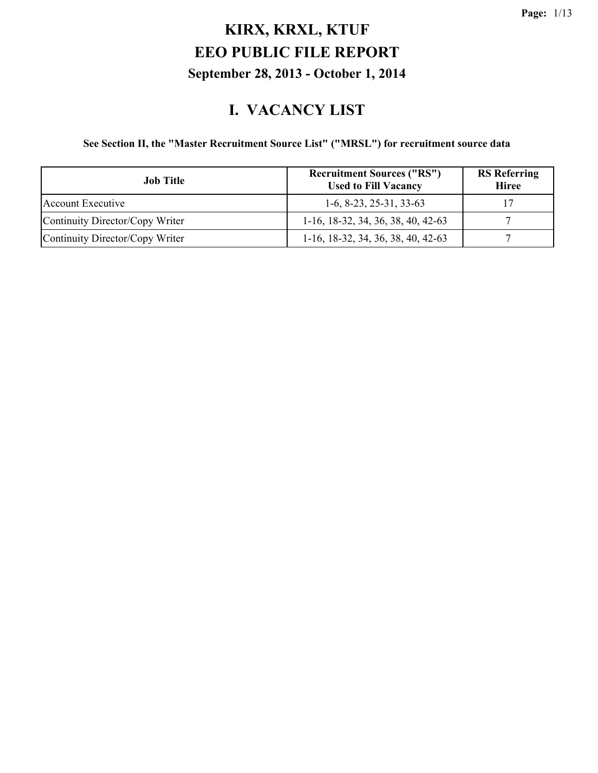#### **I. VACANCY LIST**

#### **See Section II, the "Master Recruitment Source List" ("MRSL") for recruitment source data**

| <b>Job Title</b>                | <b>Recruitment Sources ("RS")</b><br><b>Used to Fill Vacancy</b> | <b>RS</b> Referring<br><b>Hiree</b> |
|---------------------------------|------------------------------------------------------------------|-------------------------------------|
| Account Executive               | $1-6, 8-23, 25-31, 33-63$                                        |                                     |
| Continuity Director/Copy Writer | $1-16$ , 18-32, 34, 36, 38, 40, 42-63                            |                                     |
| Continuity Director/Copy Writer | $1-16$ , $18-32$ , $34$ , $36$ , $38$ , $40$ , $42-63$           |                                     |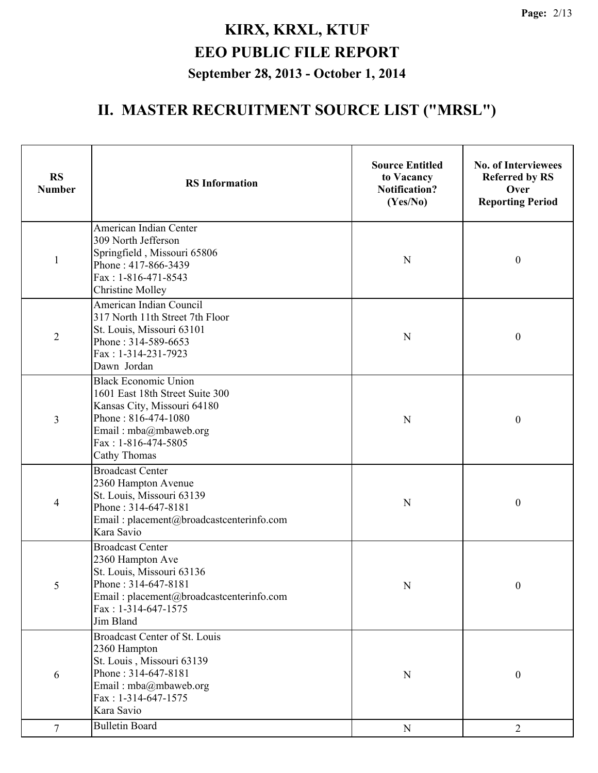| <b>RS</b><br><b>Number</b> | <b>RS</b> Information                                                                                                                                                                | <b>Source Entitled</b><br>to Vacancy<br><b>Notification?</b><br>(Yes/No) | <b>No. of Interviewees</b><br><b>Referred by RS</b><br>Over<br><b>Reporting Period</b> |
|----------------------------|--------------------------------------------------------------------------------------------------------------------------------------------------------------------------------------|--------------------------------------------------------------------------|----------------------------------------------------------------------------------------|
| $\mathbf{1}$               | American Indian Center<br>309 North Jefferson<br>Springfield, Missouri 65806<br>Phone: 417-866-3439<br>Fax: 1-816-471-8543<br><b>Christine Molley</b>                                | N                                                                        | $\boldsymbol{0}$                                                                       |
| $\overline{2}$             | American Indian Council<br>317 North 11th Street 7th Floor<br>St. Louis, Missouri 63101<br>Phone: 314-589-6653<br>Fax: 1-314-231-7923<br>Dawn Jordan                                 | N                                                                        | $\boldsymbol{0}$                                                                       |
| 3                          | <b>Black Economic Union</b><br>1601 East 18th Street Suite 300<br>Kansas City, Missouri 64180<br>Phone: 816-474-1080<br>Email: mba@mbaweb.org<br>Fax: 1-816-474-5805<br>Cathy Thomas | N                                                                        | $\boldsymbol{0}$                                                                       |
| 4                          | <b>Broadcast Center</b><br>2360 Hampton Avenue<br>St. Louis, Missouri 63139<br>Phone: 314-647-8181<br>Email: placement@broadcastcenterinfo.com<br>Kara Savio                         | N                                                                        | $\boldsymbol{0}$                                                                       |
| 5                          | <b>Broadcast Center</b><br>2360 Hampton Ave<br>St. Louis, Missouri 63136<br>Phone: 314-647-8181<br>Email: placement@broadcastcenterinfo.com<br>Fax: 1-314-647-1575<br>Jim Bland      | N                                                                        | $\boldsymbol{0}$                                                                       |
| 6                          | <b>Broadcast Center of St. Louis</b><br>2360 Hampton<br>St. Louis, Missouri 63139<br>Phone: 314-647-8181<br>Email: mba@mbaweb.org<br>Fax: 1-314-647-1575<br>Kara Savio               | N                                                                        | $\boldsymbol{0}$                                                                       |
| $\tau$                     | <b>Bulletin Board</b>                                                                                                                                                                | ${\bf N}$                                                                | $\overline{2}$                                                                         |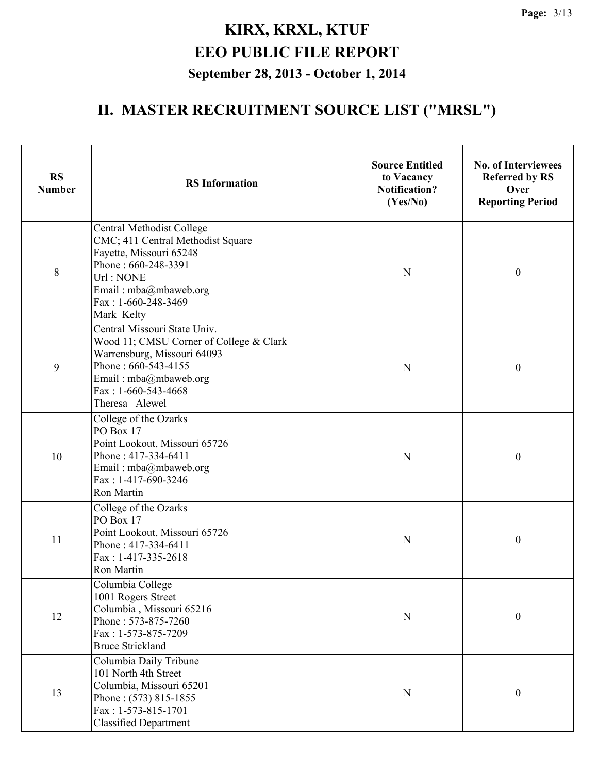| <b>RS</b><br><b>Number</b> | <b>RS</b> Information                                                                                                                                                                             | <b>Source Entitled</b><br>to Vacancy<br><b>Notification?</b><br>(Yes/No) | <b>No. of Interviewees</b><br><b>Referred by RS</b><br>Over<br><b>Reporting Period</b> |
|----------------------------|---------------------------------------------------------------------------------------------------------------------------------------------------------------------------------------------------|--------------------------------------------------------------------------|----------------------------------------------------------------------------------------|
| 8                          | Central Methodist College<br>CMC; 411 Central Methodist Square<br>Fayette, Missouri 65248<br>Phone: 660-248-3391<br>Url: NONE<br>Email: mba@mbaweb.org<br>Fax: 1-660-248-3469<br>Mark Kelty       | N                                                                        | $\boldsymbol{0}$                                                                       |
| 9                          | Central Missouri State Univ.<br>Wood 11; CMSU Corner of College & Clark<br>Warrensburg, Missouri 64093<br>Phone: 660-543-4155<br>Email: mba@mbaweb.org<br>Fax: $1-660-543-4668$<br>Theresa Alewel | N                                                                        | $\boldsymbol{0}$                                                                       |
| 10                         | College of the Ozarks<br>PO Box 17<br>Point Lookout, Missouri 65726<br>Phone: 417-334-6411<br>Email: mba@mbaweb.org<br>Fax: 1-417-690-3246<br>Ron Martin                                          | N                                                                        | $\boldsymbol{0}$                                                                       |
| 11                         | College of the Ozarks<br>PO Box 17<br>Point Lookout, Missouri 65726<br>Phone: 417-334-6411<br>Fax: 1-417-335-2618<br>Ron Martin                                                                   | N                                                                        | $\boldsymbol{0}$                                                                       |
| 12                         | Columbia College<br>1001 Rogers Street<br>Columbia, Missouri 65216<br>Phone: 573-875-7260<br>Fax: 1-573-875-7209<br><b>Bruce Strickland</b>                                                       | N                                                                        | $\boldsymbol{0}$                                                                       |
| 13                         | Columbia Daily Tribune<br>101 North 4th Street<br>Columbia, Missouri 65201<br>Phone: (573) 815-1855<br>Fax: 1-573-815-1701<br><b>Classified Department</b>                                        | $\mathbf N$                                                              | $\boldsymbol{0}$                                                                       |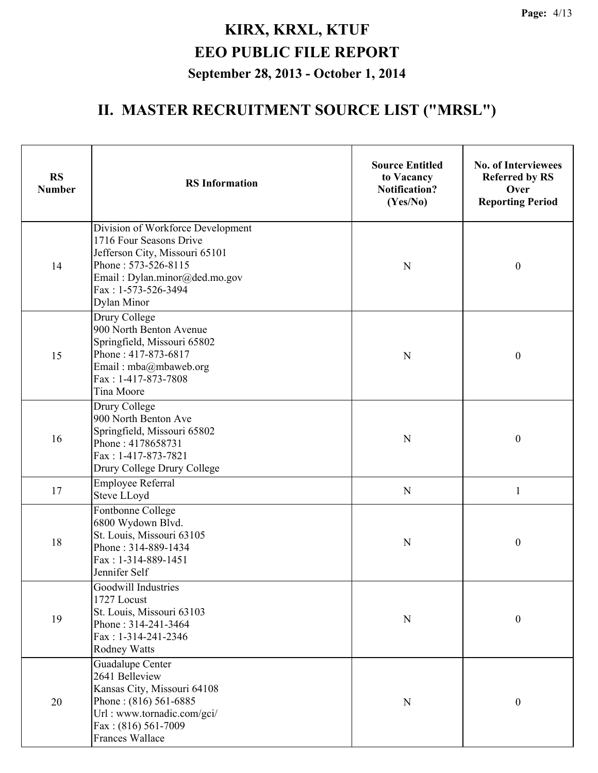| <b>RS</b><br><b>Number</b> | <b>RS</b> Information                                                                                                                                                                        | <b>Source Entitled</b><br>to Vacancy<br><b>Notification?</b><br>(Yes/No) | <b>No. of Interviewees</b><br><b>Referred by RS</b><br>Over<br><b>Reporting Period</b> |
|----------------------------|----------------------------------------------------------------------------------------------------------------------------------------------------------------------------------------------|--------------------------------------------------------------------------|----------------------------------------------------------------------------------------|
| 14                         | Division of Workforce Development<br>1716 Four Seasons Drive<br>Jefferson City, Missouri 65101<br>Phone: 573-526-8115<br>Email: Dylan.minor@ded.mo.gov<br>Fax: 1-573-526-3494<br>Dylan Minor | $\mathbf N$                                                              | $\boldsymbol{0}$                                                                       |
| 15                         | Drury College<br>900 North Benton Avenue<br>Springfield, Missouri 65802<br>Phone: 417-873-6817<br>Email: mba@mbaweb.org<br>Fax: 1-417-873-7808<br>Tina Moore                                 | N                                                                        | $\boldsymbol{0}$                                                                       |
| 16                         | Drury College<br>900 North Benton Ave<br>Springfield, Missouri 65802<br>Phone: 4178658731<br>Fax: 1-417-873-7821<br>Drury College Drury College                                              | ${\bf N}$                                                                | $\boldsymbol{0}$                                                                       |
| 17                         | <b>Employee Referral</b><br>Steve LLoyd                                                                                                                                                      | $\mathbf N$                                                              | 1                                                                                      |
| 18                         | Fontbonne College<br>6800 Wydown Blvd.<br>St. Louis, Missouri 63105<br>Phone: 314-889-1434<br>Fax: 1-314-889-1451<br>Jennifer Self                                                           | N                                                                        | $\boldsymbol{0}$                                                                       |
| 19                         | Goodwill Industries<br>1727 Locust<br>St. Louis, Missouri 63103<br>Phone: 314-241-3464<br>Fax: 1-314-241-2346<br><b>Rodney Watts</b>                                                         | ${\bf N}$                                                                | $\boldsymbol{0}$                                                                       |
| 20                         | Guadalupe Center<br>2641 Belleview<br>Kansas City, Missouri 64108<br>Phone: (816) 561-6885<br>Url: www.tornadic.com/gci/<br>Fax: (816) 561-7009<br><b>Frances Wallace</b>                    | ${\bf N}$                                                                | $\boldsymbol{0}$                                                                       |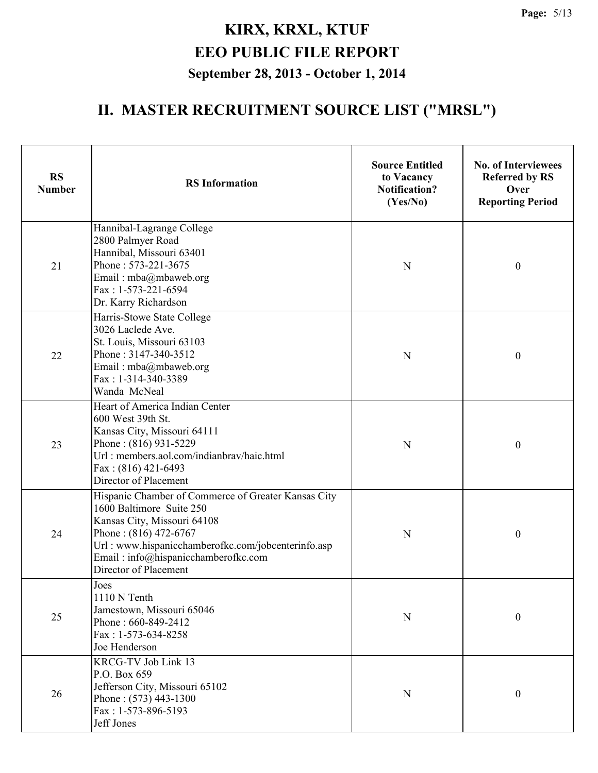| <b>RS</b><br><b>Number</b> | <b>RS</b> Information                                                                                                                                                                                                                                           | <b>Source Entitled</b><br>to Vacancy<br><b>Notification?</b><br>(Yes/No) | <b>No. of Interviewees</b><br><b>Referred by RS</b><br>Over<br><b>Reporting Period</b> |
|----------------------------|-----------------------------------------------------------------------------------------------------------------------------------------------------------------------------------------------------------------------------------------------------------------|--------------------------------------------------------------------------|----------------------------------------------------------------------------------------|
| 21                         | Hannibal-Lagrange College<br>2800 Palmyer Road<br>Hannibal, Missouri 63401<br>Phone: 573-221-3675<br>Email: mba@mbaweb.org<br>$Fax: 1-573-221-6594$<br>Dr. Karry Richardson                                                                                     | N                                                                        | $\boldsymbol{0}$                                                                       |
| 22                         | Harris-Stowe State College<br>3026 Laclede Ave.<br>St. Louis, Missouri 63103<br>Phone: 3147-340-3512<br>Email: mba@mbaweb.org<br>Fax: 1-314-340-3389<br>Wanda McNeal                                                                                            | N                                                                        | $\boldsymbol{0}$                                                                       |
| 23                         | Heart of America Indian Center<br>600 West 39th St.<br>Kansas City, Missouri 64111<br>Phone: (816) 931-5229<br>Url: members.aol.com/indianbrav/haic.html<br>Fax: (816) 421-6493<br>Director of Placement                                                        | N                                                                        | $\boldsymbol{0}$                                                                       |
| 24                         | Hispanic Chamber of Commerce of Greater Kansas City<br>1600 Baltimore Suite 250<br>Kansas City, Missouri 64108<br>Phone: $(816)$ 472-6767<br>Url: www.hispanicchamberofkc.com/jobcenterinfo.asp<br>Email: info@hispanicchamberofkc.com<br>Director of Placement | N                                                                        | $\boldsymbol{0}$                                                                       |
| 25                         | Joes<br>1110 N Tenth<br>Jamestown, Missouri 65046<br>Phone: 660-849-2412<br>Fax: 1-573-634-8258<br>Joe Henderson                                                                                                                                                | ${\bf N}$                                                                | $\boldsymbol{0}$                                                                       |
| 26                         | <b>KRCG-TV Job Link 13</b><br>P.O. Box 659<br>Jefferson City, Missouri 65102<br>Phone: $(573)$ 443-1300<br>Fax: 1-573-896-5193<br>Jeff Jones                                                                                                                    | ${\bf N}$                                                                | $\boldsymbol{0}$                                                                       |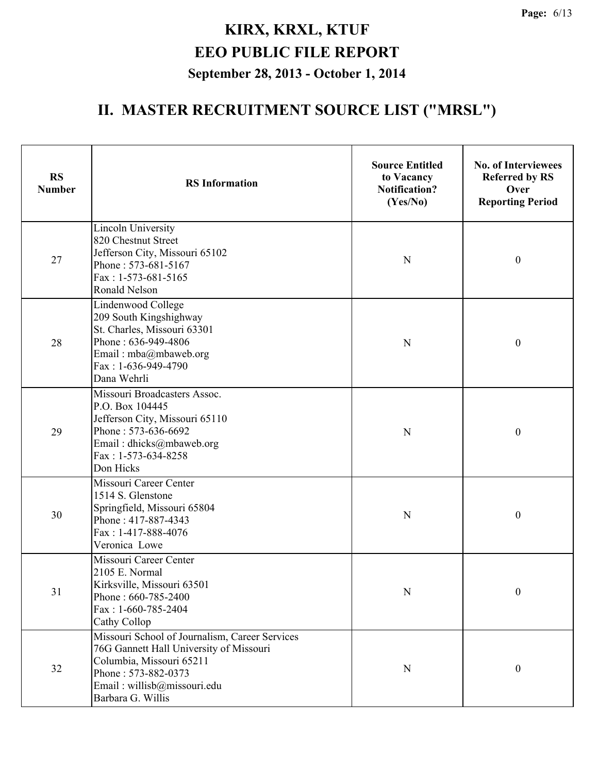| <b>RS</b><br><b>Number</b> | <b>RS</b> Information                                                                                                                                                                            | <b>Source Entitled</b><br>to Vacancy<br><b>Notification?</b><br>(Yes/No) | <b>No. of Interviewees</b><br><b>Referred by RS</b><br>Over<br><b>Reporting Period</b> |
|----------------------------|--------------------------------------------------------------------------------------------------------------------------------------------------------------------------------------------------|--------------------------------------------------------------------------|----------------------------------------------------------------------------------------|
| 27                         | <b>Lincoln University</b><br>820 Chestnut Street<br>Jefferson City, Missouri 65102<br>Phone: 573-681-5167<br>Fax: 1-573-681-5165<br><b>Ronald Nelson</b>                                         | N                                                                        | $\boldsymbol{0}$                                                                       |
| 28                         | Lindenwood College<br>209 South Kingshighway<br>St. Charles, Missouri 63301<br>Phone: 636-949-4806<br>Email: mba@mbaweb.org<br>Fax: 1-636-949-4790<br>Dana Wehrli                                | N                                                                        | $\boldsymbol{0}$                                                                       |
| 29                         | Missouri Broadcasters Assoc.<br>P.O. Box 104445<br>Jefferson City, Missouri 65110<br>Phone: 573-636-6692<br>Email: dhicks@mbaweb.org<br>Fax: 1-573-634-8258<br>Don Hicks                         | N                                                                        | $\boldsymbol{0}$                                                                       |
| 30                         | Missouri Career Center<br>1514 S. Glenstone<br>Springfield, Missouri 65804<br>Phone: 417-887-4343<br>Fax: 1-417-888-4076<br>Veronica Lowe                                                        | N                                                                        | $\boldsymbol{0}$                                                                       |
| 31                         | Missouri Career Center<br>2105 E. Normal<br>Kirksville, Missouri 63501<br>Phone: 660-785-2400<br>Fax: 1-660-785-2404<br>Cathy Collop                                                             | $\mathbf N$                                                              | $\boldsymbol{0}$                                                                       |
| 32                         | Missouri School of Journalism, Career Services<br>76G Gannett Hall University of Missouri<br>Columbia, Missouri 65211<br>Phone: 573-882-0373<br>Email: willisb@missouri.edu<br>Barbara G. Willis | $\mathbf N$                                                              | $\boldsymbol{0}$                                                                       |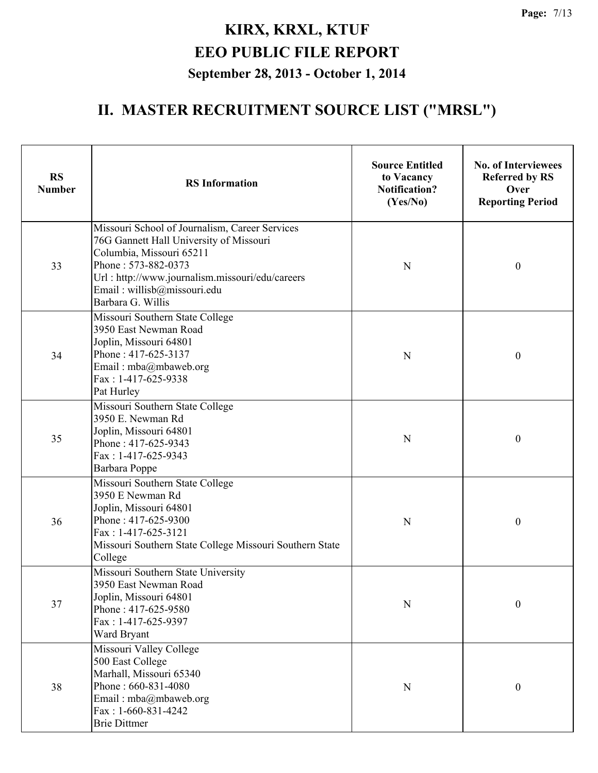| <b>RS</b><br><b>Number</b> | <b>RS</b> Information                                                                                                                                                                                                                               | <b>Source Entitled</b><br>to Vacancy<br><b>Notification?</b><br>(Yes/No) | <b>No. of Interviewees</b><br><b>Referred by RS</b><br>Over<br><b>Reporting Period</b> |
|----------------------------|-----------------------------------------------------------------------------------------------------------------------------------------------------------------------------------------------------------------------------------------------------|--------------------------------------------------------------------------|----------------------------------------------------------------------------------------|
| 33                         | Missouri School of Journalism, Career Services<br>76G Gannett Hall University of Missouri<br>Columbia, Missouri 65211<br>Phone: 573-882-0373<br>Url: http://www.journalism.missouri/edu/careers<br>Email: willisb@missouri.edu<br>Barbara G. Willis | N                                                                        | $\boldsymbol{0}$                                                                       |
| 34                         | Missouri Southern State College<br>3950 East Newman Road<br>Joplin, Missouri 64801<br>Phone: 417-625-3137<br>Email: mba@mbaweb.org<br>Fax: 1-417-625-9338<br>Pat Hurley                                                                             | N                                                                        | $\boldsymbol{0}$                                                                       |
| 35                         | Missouri Southern State College<br>3950 E. Newman Rd<br>Joplin, Missouri 64801<br>Phone: 417-625-9343<br>Fax: 1-417-625-9343<br>Barbara Poppe                                                                                                       | N                                                                        | $\boldsymbol{0}$                                                                       |
| 36                         | Missouri Southern State College<br>3950 E Newman Rd<br>Joplin, Missouri 64801<br>Phone: 417-625-9300<br>Fax: 1-417-625-3121<br>Missouri Southern State College Missouri Southern State<br>College                                                   | N                                                                        | $\boldsymbol{0}$                                                                       |
| 37                         | Missouri Southern State University<br>3950 East Newman Road<br>Joplin, Missouri 64801<br>Phone: 417-625-9580<br>Fax: 1-417-625-9397<br>Ward Bryant                                                                                                  | $\mathbf N$                                                              | $\boldsymbol{0}$                                                                       |
| 38                         | Missouri Valley College<br>500 East College<br>Marhall, Missouri 65340<br>Phone: 660-831-4080<br>Email: mba@mbaweb.org<br>$Fax: 1-660-831-4242$<br><b>Brie Dittmer</b>                                                                              | ${\bf N}$                                                                | $\boldsymbol{0}$                                                                       |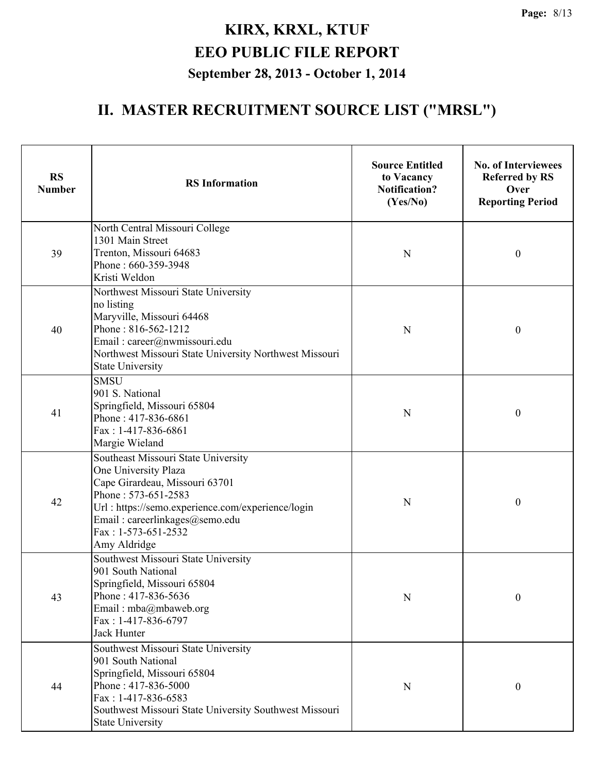| <b>RS</b><br><b>Number</b> | <b>RS</b> Information                                                                                                                                                                                                                              | <b>Source Entitled</b><br>to Vacancy<br><b>Notification?</b><br>(Yes/No) | <b>No. of Interviewees</b><br><b>Referred by RS</b><br>Over<br><b>Reporting Period</b> |
|----------------------------|----------------------------------------------------------------------------------------------------------------------------------------------------------------------------------------------------------------------------------------------------|--------------------------------------------------------------------------|----------------------------------------------------------------------------------------|
| 39                         | North Central Missouri College<br>1301 Main Street<br>Trenton, Missouri 64683<br>Phone: 660-359-3948<br>Kristi Weldon                                                                                                                              | N                                                                        | $\boldsymbol{0}$                                                                       |
| 40                         | Northwest Missouri State University<br>no listing<br>Maryville, Missouri 64468<br>Phone: 816-562-1212<br>Email: career@nwmissouri.edu<br>Northwest Missouri State University Northwest Missouri<br><b>State University</b>                         | N                                                                        | $\boldsymbol{0}$                                                                       |
| 41                         | <b>SMSU</b><br>901 S. National<br>Springfield, Missouri 65804<br>Phone: 417-836-6861<br>Fax: 1-417-836-6861<br>Margie Wieland                                                                                                                      | N                                                                        | $\boldsymbol{0}$                                                                       |
| 42                         | Southeast Missouri State University<br>One University Plaza<br>Cape Girardeau, Missouri 63701<br>Phone: 573-651-2583<br>Url: https://semo.experience.com/experience/login<br>Email: careerlinkages@semo.edu<br>Fax: 1-573-651-2532<br>Amy Aldridge | N                                                                        | $\boldsymbol{0}$                                                                       |
| 43                         | Southwest Missouri State University<br>901 South National<br>Springfield, Missouri 65804<br>Phone: 417-836-5636<br>Email: mba@mbaweb.org<br>Fax: 1-417-836-6797<br><b>Jack Hunter</b>                                                              | N                                                                        | $\boldsymbol{0}$                                                                       |
| 44                         | Southwest Missouri State University<br>901 South National<br>Springfield, Missouri 65804<br>Phone: 417-836-5000<br>Fax: 1-417-836-6583<br>Southwest Missouri State University Southwest Missouri<br><b>State University</b>                        | N                                                                        | $\boldsymbol{0}$                                                                       |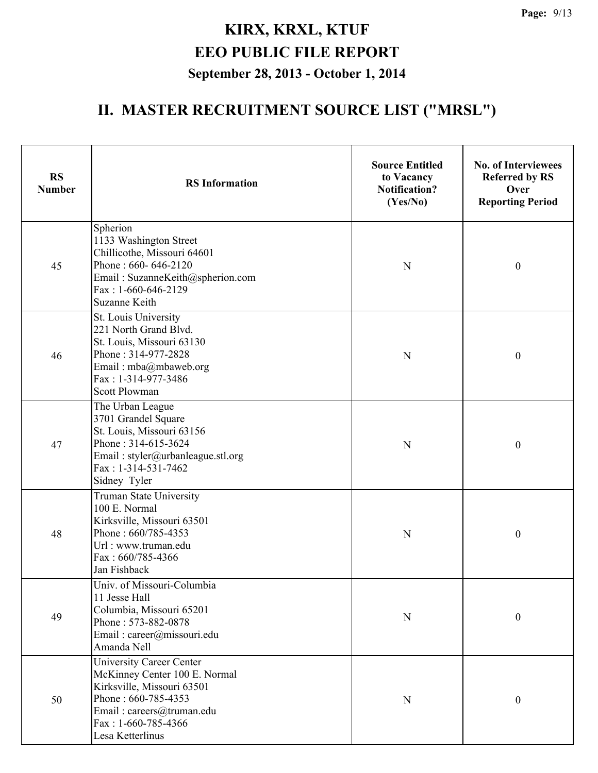| <b>RS</b><br><b>Number</b> | <b>RS</b> Information                                                                                                                                                                           | <b>Source Entitled</b><br>to Vacancy<br><b>Notification?</b><br>(Yes/No) | <b>No. of Interviewees</b><br><b>Referred by RS</b><br>Over<br><b>Reporting Period</b> |
|----------------------------|-------------------------------------------------------------------------------------------------------------------------------------------------------------------------------------------------|--------------------------------------------------------------------------|----------------------------------------------------------------------------------------|
| 45                         | Spherion<br>1133 Washington Street<br>Chillicothe, Missouri 64601<br>Phone: 660-646-2120<br>Email: SuzanneKeith@spherion.com<br>Fax: 1-660-646-2129<br>Suzanne Keith                            | $\mathbf N$                                                              | $\boldsymbol{0}$                                                                       |
| 46                         | St. Louis University<br>221 North Grand Blvd.<br>St. Louis, Missouri 63130<br>Phone: 314-977-2828<br>Email: mba@mbaweb.org<br>Fax: 1-314-977-3486<br><b>Scott Plowman</b>                       | N                                                                        | $\boldsymbol{0}$                                                                       |
| 47                         | The Urban League<br>3701 Grandel Square<br>St. Louis, Missouri 63156<br>Phone: 314-615-3624<br>Email: styler@urbanleague.stl.org<br>Fax: 1-314-531-7462<br>Sidney Tyler                         | ${\bf N}$                                                                | $\boldsymbol{0}$                                                                       |
| 48                         | Truman State University<br>100 E. Normal<br>Kirksville, Missouri 63501<br>Phone: 660/785-4353<br>Url: www.truman.edu<br>Fax: 660/785-4366<br>Jan Fishback                                       | N                                                                        | $\boldsymbol{0}$                                                                       |
| 49                         | Univ. of Missouri-Columbia<br>11 Jesse Hall<br>Columbia, Missouri 65201<br>Phone: 573-882-0878<br>Email: career@missouri.edu<br>Amanda Nell                                                     | $\mathbf N$                                                              | $\boldsymbol{0}$                                                                       |
| 50                         | <b>University Career Center</b><br>McKinney Center 100 E. Normal<br>Kirksville, Missouri 63501<br>Phone: 660-785-4353<br>Email: careers@truman.edu<br>Fax: $1-660-785-4366$<br>Lesa Ketterlinus | ${\bf N}$                                                                | $\boldsymbol{0}$                                                                       |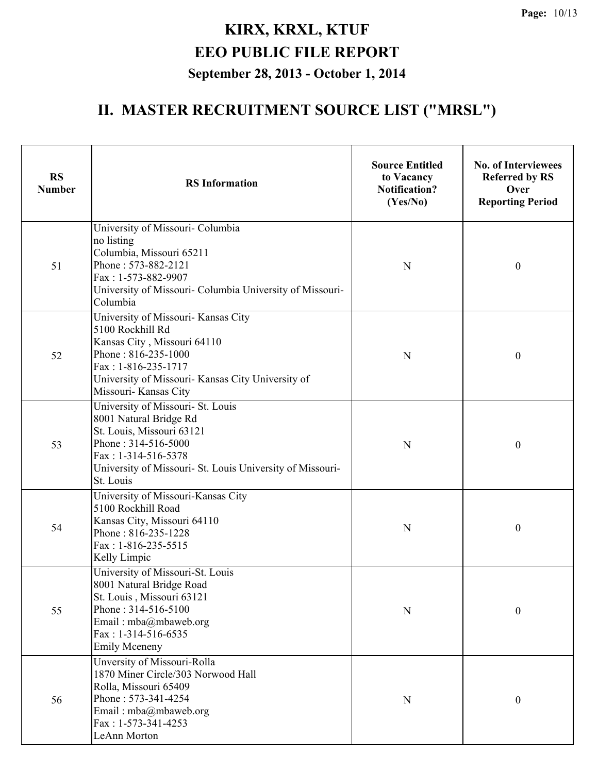| <b>RS</b><br><b>Number</b> | <b>RS</b> Information                                                                                                                                                                                              | <b>Source Entitled</b><br>to Vacancy<br><b>Notification?</b><br>(Yes/No) | <b>No. of Interviewees</b><br><b>Referred by RS</b><br>Over<br><b>Reporting Period</b> |
|----------------------------|--------------------------------------------------------------------------------------------------------------------------------------------------------------------------------------------------------------------|--------------------------------------------------------------------------|----------------------------------------------------------------------------------------|
| 51                         | University of Missouri- Columbia<br>no listing<br>Columbia, Missouri 65211<br>Phone: 573-882-2121<br>Fax: 1-573-882-9907<br>University of Missouri- Columbia University of Missouri-<br>Columbia                   | N                                                                        | $\boldsymbol{0}$                                                                       |
| 52                         | University of Missouri- Kansas City<br>5100 Rockhill Rd<br>Kansas City, Missouri 64110<br>Phone: 816-235-1000<br>Fax: 1-816-235-1717<br>University of Missouri- Kansas City University of<br>Missouri- Kansas City | N                                                                        | $\boldsymbol{0}$                                                                       |
| 53                         | University of Missouri- St. Louis<br>8001 Natural Bridge Rd<br>St. Louis, Missouri 63121<br>Phone: 314-516-5000<br>Fax: 1-314-516-5378<br>University of Missouri- St. Louis University of Missouri-<br>St. Louis   | N                                                                        | $\boldsymbol{0}$                                                                       |
| 54                         | University of Missouri-Kansas City<br>5100 Rockhill Road<br>Kansas City, Missouri 64110<br>Phone: 816-235-1228<br>Fax: 1-816-235-5515<br>Kelly Limpic                                                              | N                                                                        | $\boldsymbol{0}$                                                                       |
| 55                         | University of Missouri-St. Louis<br>8001 Natural Bridge Road<br>St. Louis, Missouri 63121<br>Phone: 314-516-5100<br>Email: mba@mbaweb.org<br>Fax: $1-314-516-6535$<br><b>Emily Mceneny</b>                         | N                                                                        | $\boldsymbol{0}$                                                                       |
| 56                         | Unversity of Missouri-Rolla<br>1870 Miner Circle/303 Norwood Hall<br>Rolla, Missouri 65409<br>Phone: 573-341-4254<br>Email: mba@mbaweb.org<br>Fax: 1-573-341-4253<br>LeAnn Morton                                  | N                                                                        | $\boldsymbol{0}$                                                                       |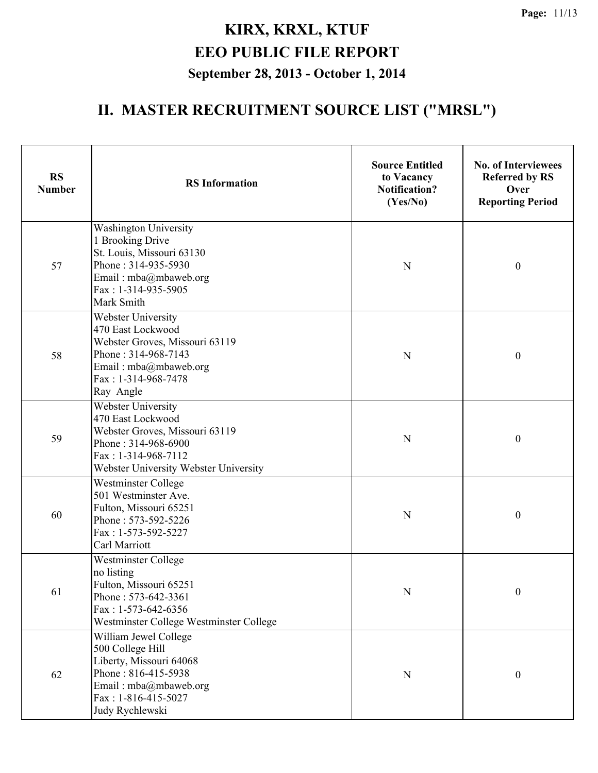| <b>RS</b><br><b>Number</b> | <b>RS</b> Information                                                                                                                                              | <b>Source Entitled</b><br>to Vacancy<br><b>Notification?</b><br>(Yes/No) | <b>No. of Interviewees</b><br><b>Referred by RS</b><br>Over<br><b>Reporting Period</b> |
|----------------------------|--------------------------------------------------------------------------------------------------------------------------------------------------------------------|--------------------------------------------------------------------------|----------------------------------------------------------------------------------------|
| 57                         | <b>Washington University</b><br>1 Brooking Drive<br>St. Louis, Missouri 63130<br>Phone: 314-935-5930<br>Email: mba@mbaweb.org<br>Fax: 1-314-935-5905<br>Mark Smith | N                                                                        | $\boldsymbol{0}$                                                                       |
| 58                         | Webster University<br>470 East Lockwood<br>Webster Groves, Missouri 63119<br>Phone: 314-968-7143<br>Email: mba@mbaweb.org<br>Fax: 1-314-968-7478<br>Ray Angle      | N                                                                        | $\boldsymbol{0}$                                                                       |
| 59                         | Webster University<br>470 East Lockwood<br>Webster Groves, Missouri 63119<br>Phone: 314-968-6900<br>Fax: 1-314-968-7112<br>Webster University Webster University   | N                                                                        | $\boldsymbol{0}$                                                                       |
| 60                         | <b>Westminster College</b><br>501 Westminster Ave.<br>Fulton, Missouri 65251<br>Phone: 573-592-5226<br>Fax: 1-573-592-5227<br>Carl Marriott                        | N                                                                        | $\boldsymbol{0}$                                                                       |
| 61                         | <b>Westminster College</b><br>no listing<br>Fulton, Missouri 65251<br>Phone: 573-642-3361<br>Fax: 1-573-642-6356<br>Westminster College Westminster College        | N                                                                        | $\boldsymbol{0}$                                                                       |
| 62                         | William Jewel College<br>500 College Hill<br>Liberty, Missouri 64068<br>Phone: 816-415-5938<br>Email: mba@mbaweb.org<br>Fax: 1-816-415-5027<br>Judy Rychlewski     | $\mathbf N$                                                              | $\boldsymbol{0}$                                                                       |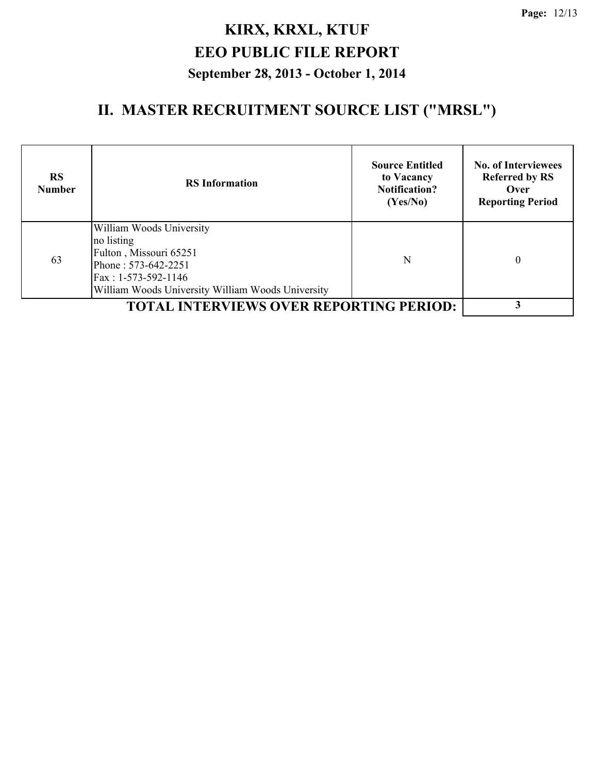| <b>RS</b><br><b>Number</b> | <b>RS</b> Information                                                                                                                                               | <b>Source Entitled</b><br>to Vacancy<br><b>Notification?</b><br>(Yes/No) | <b>No. of Interviewees</b><br><b>Referred by RS</b><br>Over<br><b>Reporting Period</b> |
|----------------------------|---------------------------------------------------------------------------------------------------------------------------------------------------------------------|--------------------------------------------------------------------------|----------------------------------------------------------------------------------------|
| 63                         | William Woods University<br>no listing<br>Fulton, Missouri 65251<br>Phone: 573-642-2251<br>Fax: 1-573-592-1146<br>William Woods University William Woods University | N                                                                        | $\theta$                                                                               |
|                            | <b>TOTAL INTERVIEWS OVER REPORTING PERIOD:</b>                                                                                                                      |                                                                          |                                                                                        |